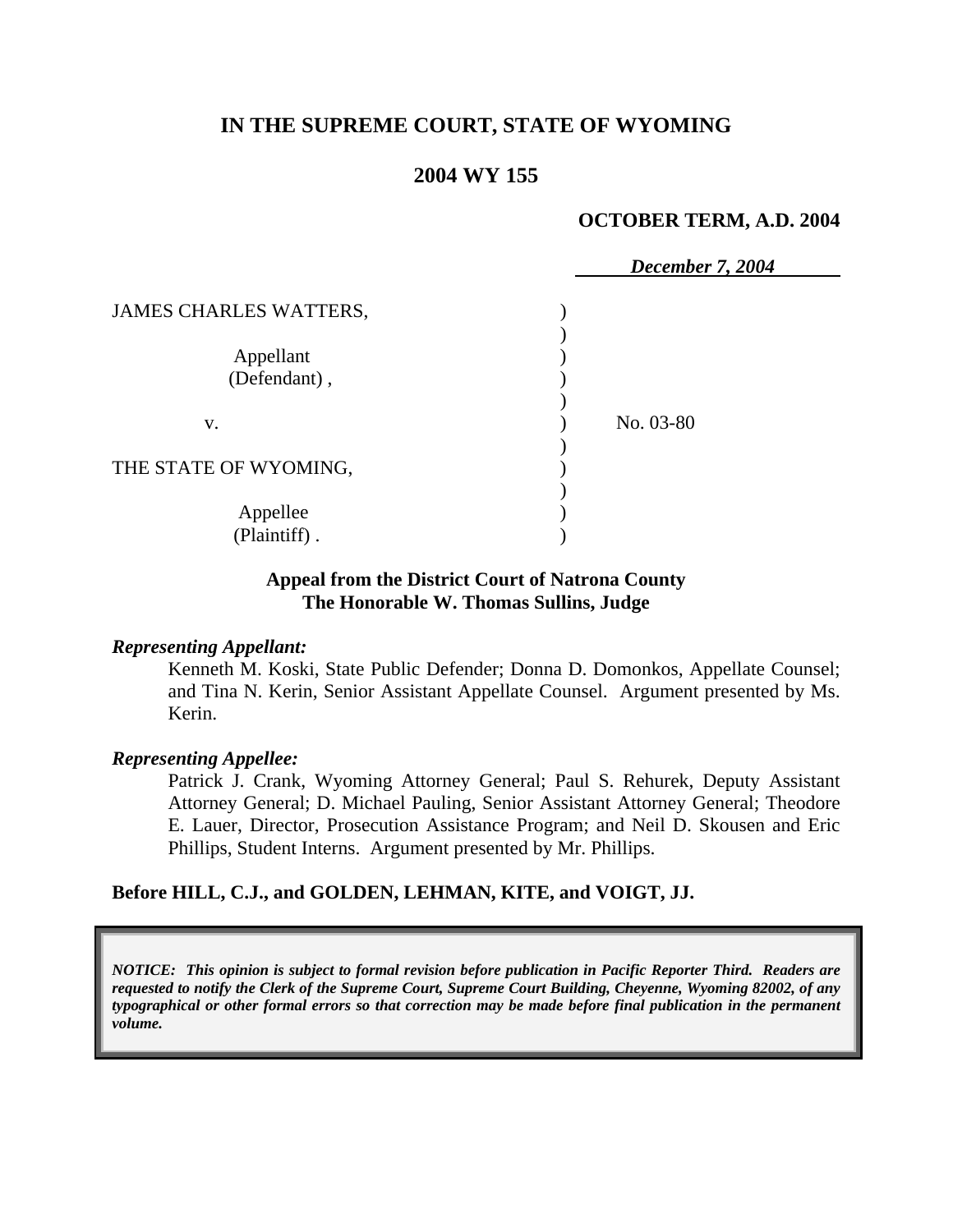## **IN THE SUPREME COURT, STATE OF WYOMING**

## **2004 WY 155**

#### **OCTOBER TERM, A.D. 2004**

|                               | December 7, 2004 |  |
|-------------------------------|------------------|--|
| <b>JAMES CHARLES WATTERS,</b> |                  |  |
| Appellant<br>(Defendant),     |                  |  |
| V.                            | No. 03-80        |  |
| THE STATE OF WYOMING,         |                  |  |
| Appellee<br>(Plaintiff).      |                  |  |

#### **Appeal from the District Court of Natrona County The Honorable W. Thomas Sullins, Judge**

#### *Representing Appellant:*

Kenneth M. Koski, State Public Defender; Donna D. Domonkos, Appellate Counsel; and Tina N. Kerin, Senior Assistant Appellate Counsel. Argument presented by Ms. Kerin.

#### *Representing Appellee:*

Patrick J. Crank, Wyoming Attorney General; Paul S. Rehurek, Deputy Assistant Attorney General; D. Michael Pauling, Senior Assistant Attorney General; Theodore E. Lauer, Director, Prosecution Assistance Program; and Neil D. Skousen and Eric Phillips, Student Interns. Argument presented by Mr. Phillips.

#### **Before HILL, C.J., and GOLDEN, LEHMAN, KITE, and VOIGT, JJ.**

*NOTICE: This opinion is subject to formal revision before publication in Pacific Reporter Third. Readers are requested to notify the Clerk of the Supreme Court, Supreme Court Building, Cheyenne, Wyoming 82002, of any typographical or other formal errors so that correction may be made before final publication in the permanent volume.*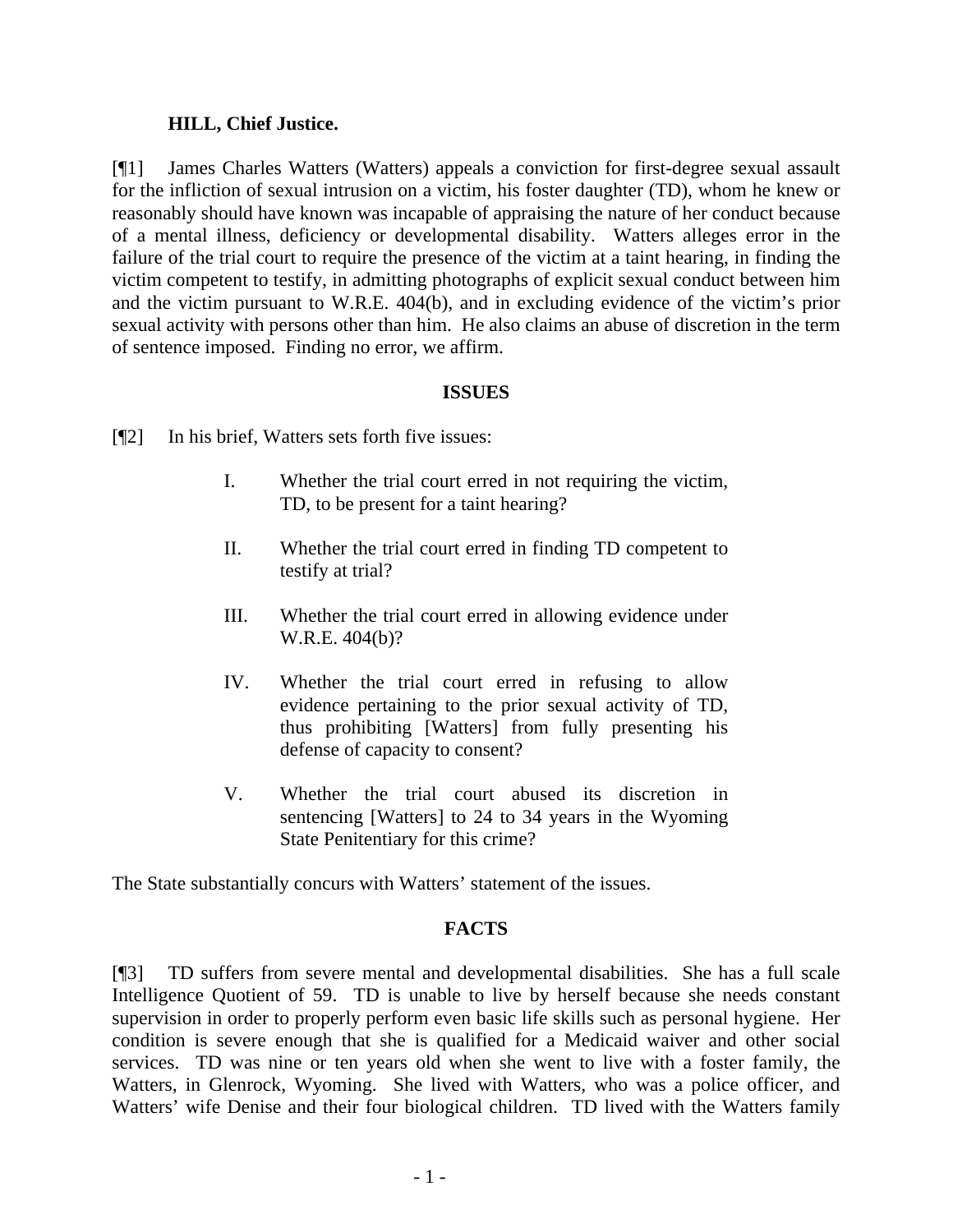### **HILL, Chief Justice.**

[¶1] James Charles Watters (Watters) appeals a conviction for first-degree sexual assault for the infliction of sexual intrusion on a victim, his foster daughter (TD), whom he knew or reasonably should have known was incapable of appraising the nature of her conduct because of a mental illness, deficiency or developmental disability. Watters alleges error in the failure of the trial court to require the presence of the victim at a taint hearing, in finding the victim competent to testify, in admitting photographs of explicit sexual conduct between him and the victim pursuant to W.R.E. 404(b), and in excluding evidence of the victim's prior sexual activity with persons other than him. He also claims an abuse of discretion in the term of sentence imposed. Finding no error, we affirm.

### **ISSUES**

- [¶2] In his brief, Watters sets forth five issues:
	- I. Whether the trial court erred in not requiring the victim, TD, to be present for a taint hearing?
	- II. Whether the trial court erred in finding TD competent to testify at trial?
	- III. Whether the trial court erred in allowing evidence under W.R.E. 404(b)?
	- IV. Whether the trial court erred in refusing to allow evidence pertaining to the prior sexual activity of TD, thus prohibiting [Watters] from fully presenting his defense of capacity to consent?
	- V. Whether the trial court abused its discretion in sentencing [Watters] to 24 to 34 years in the Wyoming State Penitentiary for this crime?

The State substantially concurs with Watters' statement of the issues.

### **FACTS**

[¶3] TD suffers from severe mental and developmental disabilities. She has a full scale Intelligence Quotient of 59. TD is unable to live by herself because she needs constant supervision in order to properly perform even basic life skills such as personal hygiene. Her condition is severe enough that she is qualified for a Medicaid waiver and other social services. TD was nine or ten years old when she went to live with a foster family, the Watters, in Glenrock, Wyoming. She lived with Watters, who was a police officer, and Watters' wife Denise and their four biological children. TD lived with the Watters family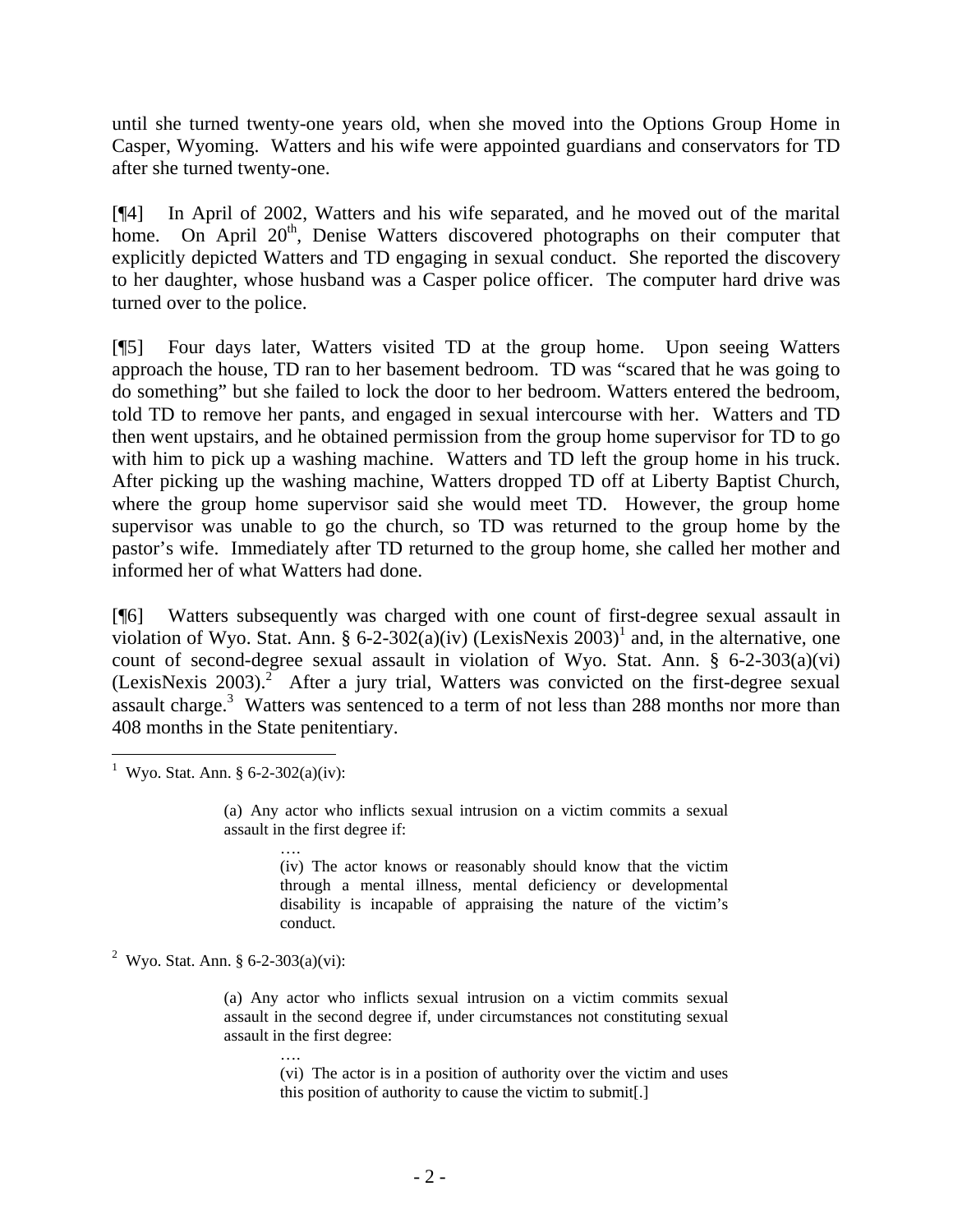until she turned twenty-one years old, when she moved into the Options Group Home in Casper, Wyoming. Watters and his wife were appointed guardians and conservators for TD after she turned twenty-one.

[¶4] In April of 2002, Watters and his wife separated, and he moved out of the marital home. On April 20<sup>th</sup>, Denise Watters discovered photographs on their computer that explicitly depicted Watters and TD engaging in sexual conduct. She reported the discovery to her daughter, whose husband was a Casper police officer. The computer hard drive was turned over to the police.

[¶5] Four days later, Watters visited TD at the group home. Upon seeing Watters approach the house, TD ran to her basement bedroom. TD was "scared that he was going to do something" but she failed to lock the door to her bedroom. Watters entered the bedroom, told TD to remove her pants, and engaged in sexual intercourse with her. Watters and TD then went upstairs, and he obtained permission from the group home supervisor for TD to go with him to pick up a washing machine. Watters and TD left the group home in his truck. After picking up the washing machine, Watters dropped TD off at Liberty Baptist Church, where the group home supervisor said she would meet TD. However, the group home supervisor was unable to go the church, so TD was returned to the group home by the pastor's wife. Immediately after TD returned to the group home, she called her mother and informed her of what Watters had done.

[¶6] Watters subsequently was charged with one count of first-degree sexual assault in violation of Wyo. Stat. Ann. § 6-2-302(a)(iv) (LexisNexis 2003)<sup>1</sup> and, in the alternative, one count of second-degree sexual assault in violation of Wyo. Stat. Ann. § 6-2-303(a)(vi) (LexisNexis 2003).<sup>2</sup> After a jury trial, Watters was convicted on the first-degree sexual assault charge.<sup>3</sup> Watters was sentenced to a term of not less than 288 months nor more than 408 months in the State penitentiary.

<sup>1</sup> Wyo. Stat. Ann. § 6-2-302(a)(iv):

 $\overline{a}$ 

(a) Any actor who inflicts sexual intrusion on a victim commits a sexual assault in the first degree if:

….

(iv) The actor knows or reasonably should know that the victim through a mental illness, mental deficiency or developmental disability is incapable of appraising the nature of the victim's conduct.

<sup>2</sup> Wyo. Stat. Ann. § 6-2-303(a)(vi):

(a) Any actor who inflicts sexual intrusion on a victim commits sexual assault in the second degree if, under circumstances not constituting sexual assault in the first degree:

….

(vi) The actor is in a position of authority over the victim and uses this position of authority to cause the victim to submit[.]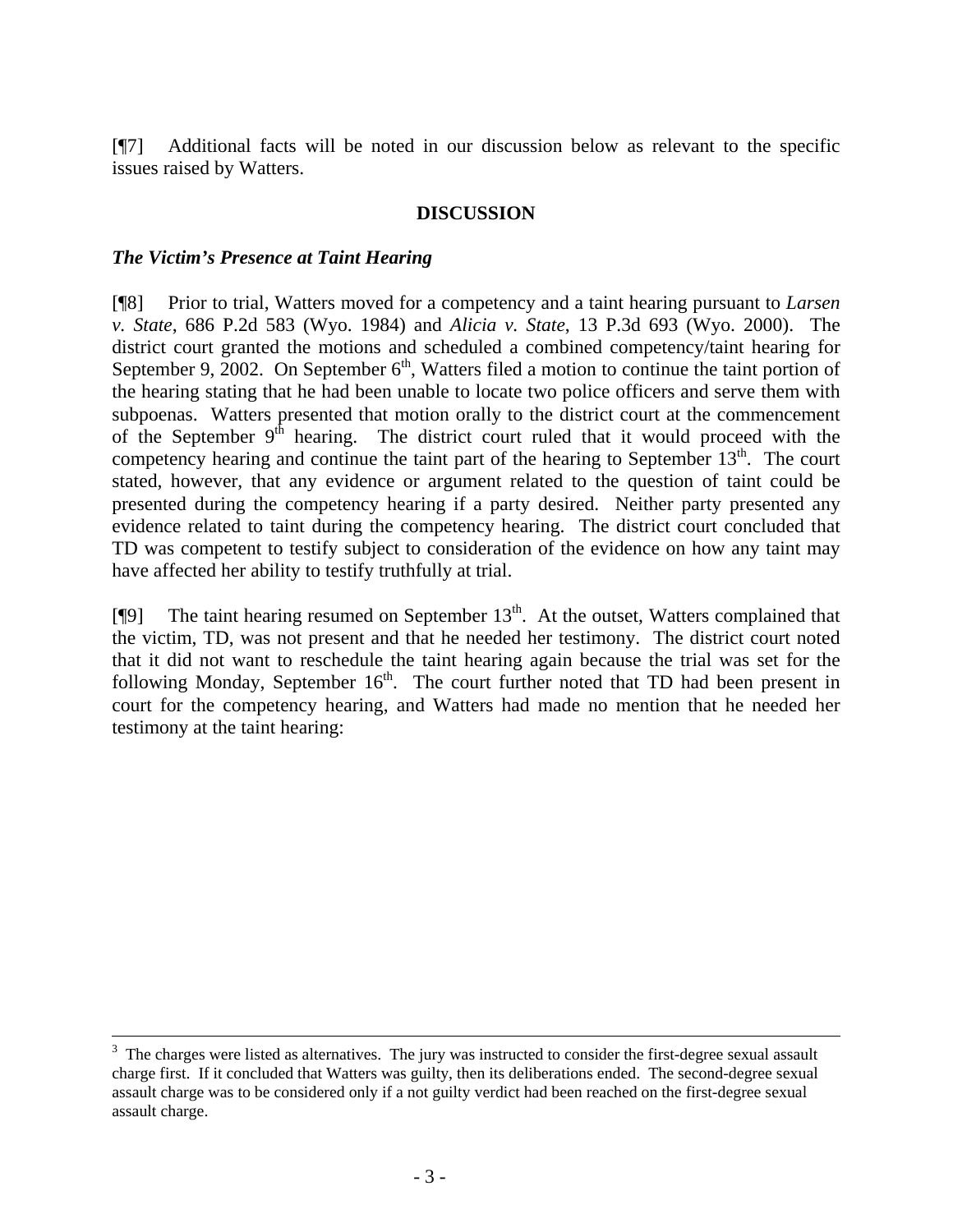[¶7] Additional facts will be noted in our discussion below as relevant to the specific issues raised by Watters.

### **DISCUSSION**

### *The Victim's Presence at Taint Hearing*

[¶8] Prior to trial, Watters moved for a competency and a taint hearing pursuant to *Larsen v. State*, 686 P.2d 583 (Wyo. 1984) and *Alicia v. State*, 13 P.3d 693 (Wyo. 2000). The district court granted the motions and scheduled a combined competency/taint hearing for September 9, 2002. On September  $6<sup>th</sup>$ , Watters filed a motion to continue the taint portion of the hearing stating that he had been unable to locate two police officers and serve them with subpoenas. Watters presented that motion orally to the district court at the commencement of the September  $9<sup>th</sup>$  hearing. The district court ruled that it would proceed with the competency hearing and continue the taint part of the hearing to September  $13<sup>th</sup>$ . The court stated, however, that any evidence or argument related to the question of taint could be presented during the competency hearing if a party desired. Neither party presented any evidence related to taint during the competency hearing. The district court concluded that TD was competent to testify subject to consideration of the evidence on how any taint may have affected her ability to testify truthfully at trial.

[ $[$ [9] The taint hearing resumed on September 13<sup>th</sup>. At the outset, Watters complained that the victim, TD, was not present and that he needed her testimony. The district court noted that it did not want to reschedule the taint hearing again because the trial was set for the following Monday, September  $16<sup>th</sup>$ . The court further noted that TD had been present in court for the competency hearing, and Watters had made no mention that he needed her testimony at the taint hearing:

 $\frac{1}{3}$ <sup>3</sup> The charges were listed as alternatives. The jury was instructed to consider the first-degree sexual assault charge first. If it concluded that Watters was guilty, then its deliberations ended. The second-degree sexual assault charge was to be considered only if a not guilty verdict had been reached on the first-degree sexual assault charge.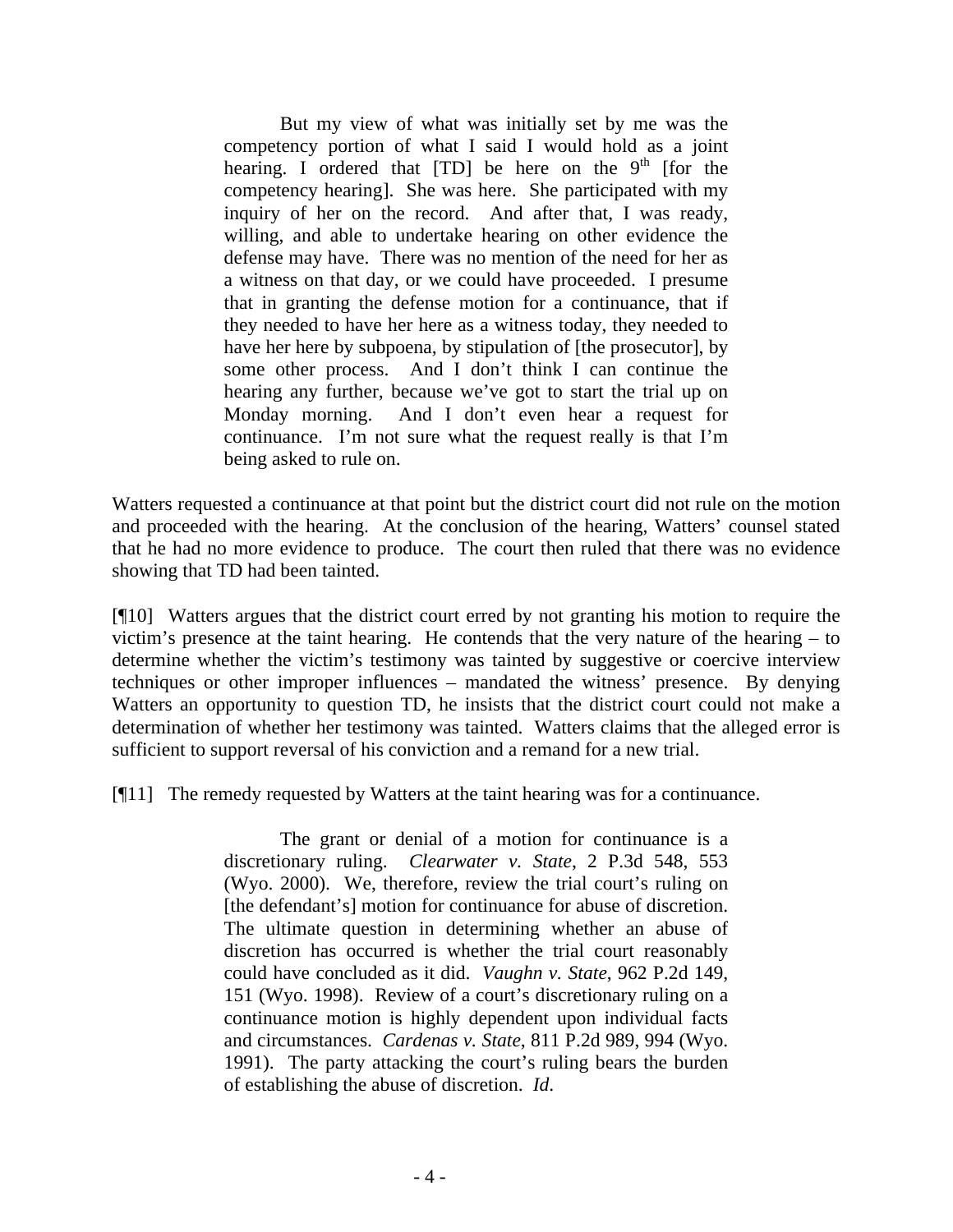But my view of what was initially set by me was the competency portion of what I said I would hold as a joint hearing. I ordered that  $[TD]$  be here on the 9<sup>th</sup> [for the competency hearing]. She was here. She participated with my inquiry of her on the record. And after that, I was ready, willing, and able to undertake hearing on other evidence the defense may have. There was no mention of the need for her as a witness on that day, or we could have proceeded. I presume that in granting the defense motion for a continuance, that if they needed to have her here as a witness today, they needed to have her here by subpoena, by stipulation of [the prosecutor], by some other process. And I don't think I can continue the hearing any further, because we've got to start the trial up on Monday morning. And I don't even hear a request for continuance. I'm not sure what the request really is that I'm being asked to rule on.

Watters requested a continuance at that point but the district court did not rule on the motion and proceeded with the hearing. At the conclusion of the hearing, Watters' counsel stated that he had no more evidence to produce. The court then ruled that there was no evidence showing that TD had been tainted.

[¶10] Watters argues that the district court erred by not granting his motion to require the victim's presence at the taint hearing. He contends that the very nature of the hearing – to determine whether the victim's testimony was tainted by suggestive or coercive interview techniques or other improper influences – mandated the witness' presence. By denying Watters an opportunity to question TD, he insists that the district court could not make a determination of whether her testimony was tainted. Watters claims that the alleged error is sufficient to support reversal of his conviction and a remand for a new trial.

[¶11] The remedy requested by Watters at the taint hearing was for a continuance.

The grant or denial of a motion for continuance is a discretionary ruling. *Clearwater v. State*, 2 P.3d 548, 553 (Wyo. 2000). We, therefore, review the trial court's ruling on [the defendant's] motion for continuance for abuse of discretion. The ultimate question in determining whether an abuse of discretion has occurred is whether the trial court reasonably could have concluded as it did. *Vaughn v. State*, 962 P.2d 149, 151 (Wyo. 1998). Review of a court's discretionary ruling on a continuance motion is highly dependent upon individual facts and circumstances. *Cardenas v. State*, 811 P.2d 989, 994 (Wyo. 1991). The party attacking the court's ruling bears the burden of establishing the abuse of discretion. *Id*.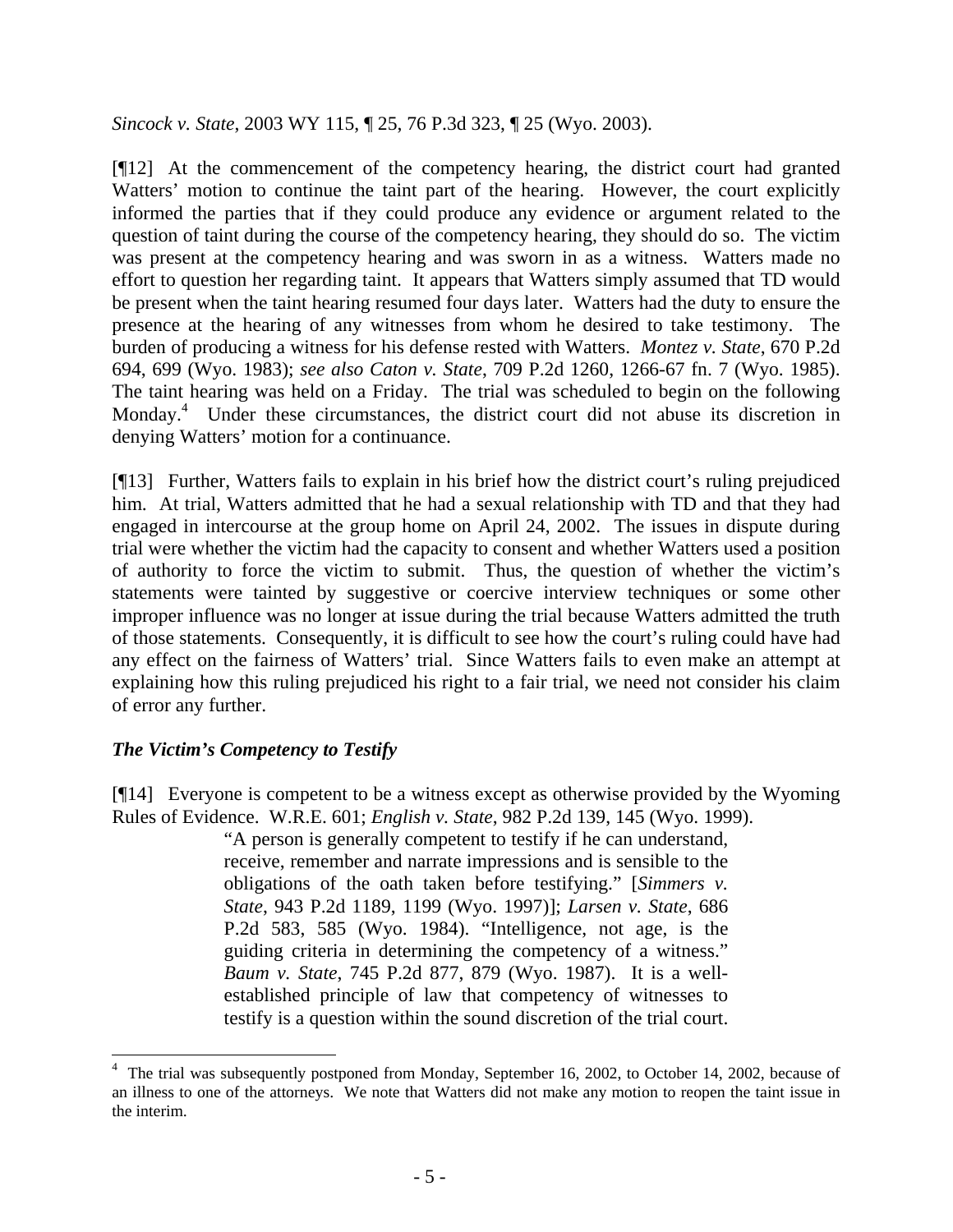*Sincock v. State*, 2003 WY 115, ¶ 25, 76 P.3d 323, ¶ 25 (Wyo. 2003).

[¶12] At the commencement of the competency hearing, the district court had granted Watters' motion to continue the taint part of the hearing. However, the court explicitly informed the parties that if they could produce any evidence or argument related to the question of taint during the course of the competency hearing, they should do so. The victim was present at the competency hearing and was sworn in as a witness. Watters made no effort to question her regarding taint. It appears that Watters simply assumed that TD would be present when the taint hearing resumed four days later. Watters had the duty to ensure the presence at the hearing of any witnesses from whom he desired to take testimony. The burden of producing a witness for his defense rested with Watters. *Montez v. State*, 670 P.2d 694, 699 (Wyo. 1983); *see also Caton v. State*, 709 P.2d 1260, 1266-67 fn. 7 (Wyo. 1985). The taint hearing was held on a Friday. The trial was scheduled to begin on the following Monday.<sup>4</sup> Under these circumstances, the district court did not abuse its discretion in denying Watters' motion for a continuance.

[¶13] Further, Watters fails to explain in his brief how the district court's ruling prejudiced him. At trial, Watters admitted that he had a sexual relationship with TD and that they had engaged in intercourse at the group home on April 24, 2002. The issues in dispute during trial were whether the victim had the capacity to consent and whether Watters used a position of authority to force the victim to submit. Thus, the question of whether the victim's statements were tainted by suggestive or coercive interview techniques or some other improper influence was no longer at issue during the trial because Watters admitted the truth of those statements. Consequently, it is difficult to see how the court's ruling could have had any effect on the fairness of Watters' trial. Since Watters fails to even make an attempt at explaining how this ruling prejudiced his right to a fair trial, we need not consider his claim of error any further.

### *The Victim's Competency to Testify*

[¶14] Everyone is competent to be a witness except as otherwise provided by the Wyoming Rules of Evidence. W.R.E. 601; *English v. State*, 982 P.2d 139, 145 (Wyo. 1999).

> "A person is generally competent to testify if he can understand, receive, remember and narrate impressions and is sensible to the obligations of the oath taken before testifying." [*Simmers v. State*, 943 P.2d 1189, 1199 (Wyo. 1997)]; *Larsen v. State*, 686 P.2d 583, 585 (Wyo. 1984). "Intelligence, not age, is the guiding criteria in determining the competency of a witness." *Baum v. State*, 745 P.2d 877, 879 (Wyo. 1987). It is a wellestablished principle of law that competency of witnesses to testify is a question within the sound discretion of the trial court.

 4 The trial was subsequently postponed from Monday, September 16, 2002, to October 14, 2002, because of an illness to one of the attorneys. We note that Watters did not make any motion to reopen the taint issue in the interim.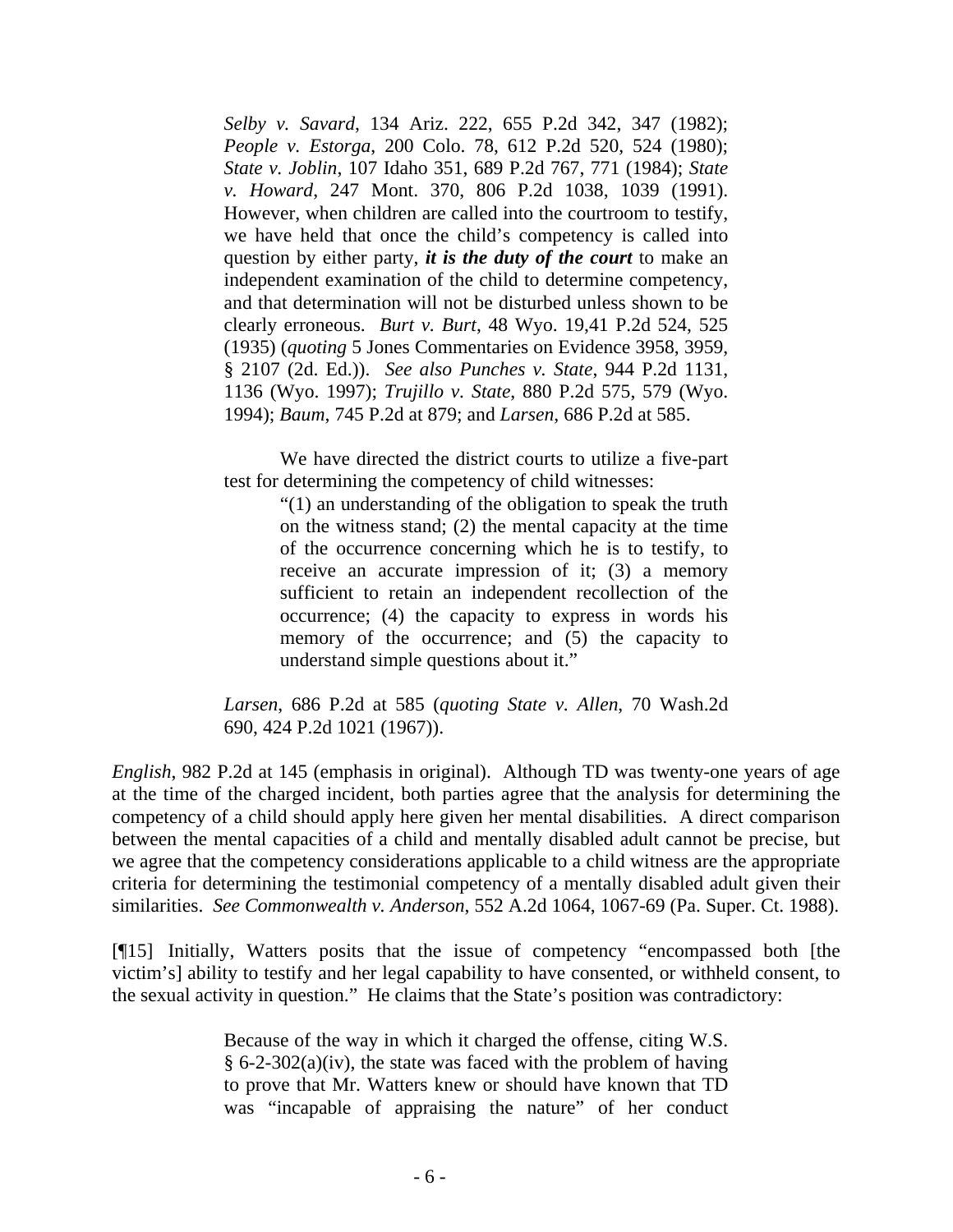*Selby v. Savard*, 134 Ariz. 222, 655 P.2d 342, 347 (1982); *People v. Estorga*, 200 Colo. 78, 612 P.2d 520, 524 (1980); *State v. Joblin*, 107 Idaho 351, 689 P.2d 767, 771 (1984); *State v. Howard*, 247 Mont. 370, 806 P.2d 1038, 1039 (1991). However, when children are called into the courtroom to testify, we have held that once the child's competency is called into question by either party, *it is the duty of the court* to make an independent examination of the child to determine competency, and that determination will not be disturbed unless shown to be clearly erroneous. *Burt v. Burt*, 48 Wyo. 19,41 P.2d 524, 525 (1935) (*quoting* 5 Jones Commentaries on Evidence 3958, 3959, § 2107 (2d. Ed.)). *See also Punches v. State*, 944 P.2d 1131, 1136 (Wyo. 1997); *Trujillo v. State*, 880 P.2d 575, 579 (Wyo. 1994); *Baum*, 745 P.2d at 879; and *Larsen*, 686 P.2d at 585.

We have directed the district courts to utilize a five-part test for determining the competency of child witnesses:

> "(1) an understanding of the obligation to speak the truth on the witness stand; (2) the mental capacity at the time of the occurrence concerning which he is to testify, to receive an accurate impression of it; (3) a memory sufficient to retain an independent recollection of the occurrence; (4) the capacity to express in words his memory of the occurrence; and  $(5)$  the capacity to understand simple questions about it."

*Larsen*, 686 P.2d at 585 (*quoting State v. Allen*, 70 Wash.2d 690, 424 P.2d 1021 (1967)).

*English*, 982 P.2d at 145 (emphasis in original). Although TD was twenty-one years of age at the time of the charged incident, both parties agree that the analysis for determining the competency of a child should apply here given her mental disabilities. A direct comparison between the mental capacities of a child and mentally disabled adult cannot be precise, but we agree that the competency considerations applicable to a child witness are the appropriate criteria for determining the testimonial competency of a mentally disabled adult given their similarities. *See Commonwealth v. Anderson*, 552 A.2d 1064, 1067-69 (Pa. Super. Ct. 1988).

[¶15] Initially, Watters posits that the issue of competency "encompassed both [the victim's] ability to testify and her legal capability to have consented, or withheld consent, to the sexual activity in question." He claims that the State's position was contradictory:

> Because of the way in which it charged the offense, citing W.S. § 6-2-302(a)(iv), the state was faced with the problem of having to prove that Mr. Watters knew or should have known that TD was "incapable of appraising the nature" of her conduct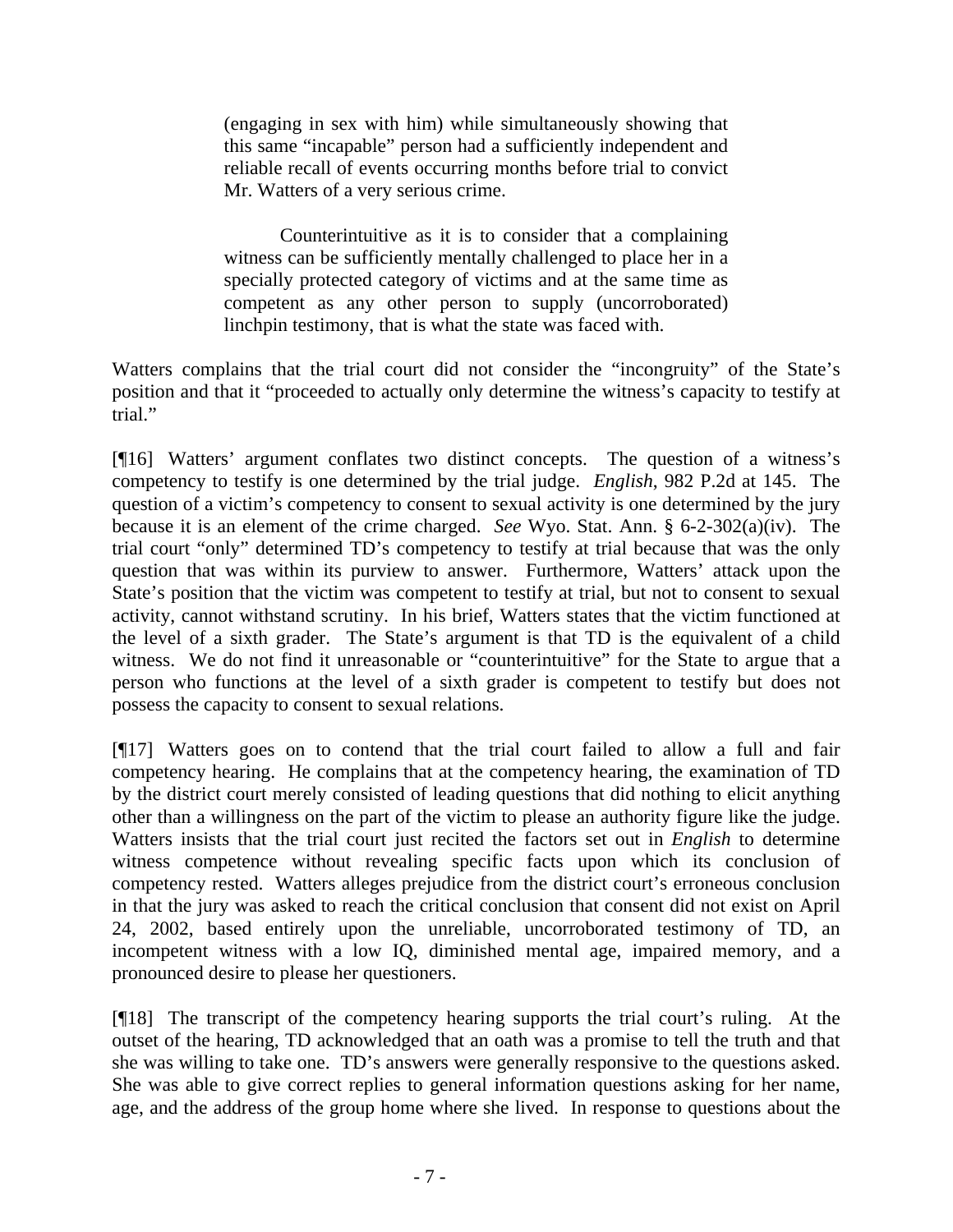(engaging in sex with him) while simultaneously showing that this same "incapable" person had a sufficiently independent and reliable recall of events occurring months before trial to convict Mr. Watters of a very serious crime.

Counterintuitive as it is to consider that a complaining witness can be sufficiently mentally challenged to place her in a specially protected category of victims and at the same time as competent as any other person to supply (uncorroborated) linchpin testimony, that is what the state was faced with.

Watters complains that the trial court did not consider the "incongruity" of the State's position and that it "proceeded to actually only determine the witness's capacity to testify at trial."

[¶16] Watters' argument conflates two distinct concepts. The question of a witness's competency to testify is one determined by the trial judge. *English*, 982 P.2d at 145. The question of a victim's competency to consent to sexual activity is one determined by the jury because it is an element of the crime charged. *See* Wyo. Stat. Ann. § 6-2-302(a)(iv). The trial court "only" determined TD's competency to testify at trial because that was the only question that was within its purview to answer. Furthermore, Watters' attack upon the State's position that the victim was competent to testify at trial, but not to consent to sexual activity, cannot withstand scrutiny. In his brief, Watters states that the victim functioned at the level of a sixth grader. The State's argument is that TD is the equivalent of a child witness. We do not find it unreasonable or "counterintuitive" for the State to argue that a person who functions at the level of a sixth grader is competent to testify but does not possess the capacity to consent to sexual relations.

[¶17] Watters goes on to contend that the trial court failed to allow a full and fair competency hearing. He complains that at the competency hearing, the examination of TD by the district court merely consisted of leading questions that did nothing to elicit anything other than a willingness on the part of the victim to please an authority figure like the judge. Watters insists that the trial court just recited the factors set out in *English* to determine witness competence without revealing specific facts upon which its conclusion of competency rested. Watters alleges prejudice from the district court's erroneous conclusion in that the jury was asked to reach the critical conclusion that consent did not exist on April 24, 2002, based entirely upon the unreliable, uncorroborated testimony of TD, an incompetent witness with a low IQ, diminished mental age, impaired memory, and a pronounced desire to please her questioners.

[¶18] The transcript of the competency hearing supports the trial court's ruling. At the outset of the hearing, TD acknowledged that an oath was a promise to tell the truth and that she was willing to take one. TD's answers were generally responsive to the questions asked. She was able to give correct replies to general information questions asking for her name, age, and the address of the group home where she lived. In response to questions about the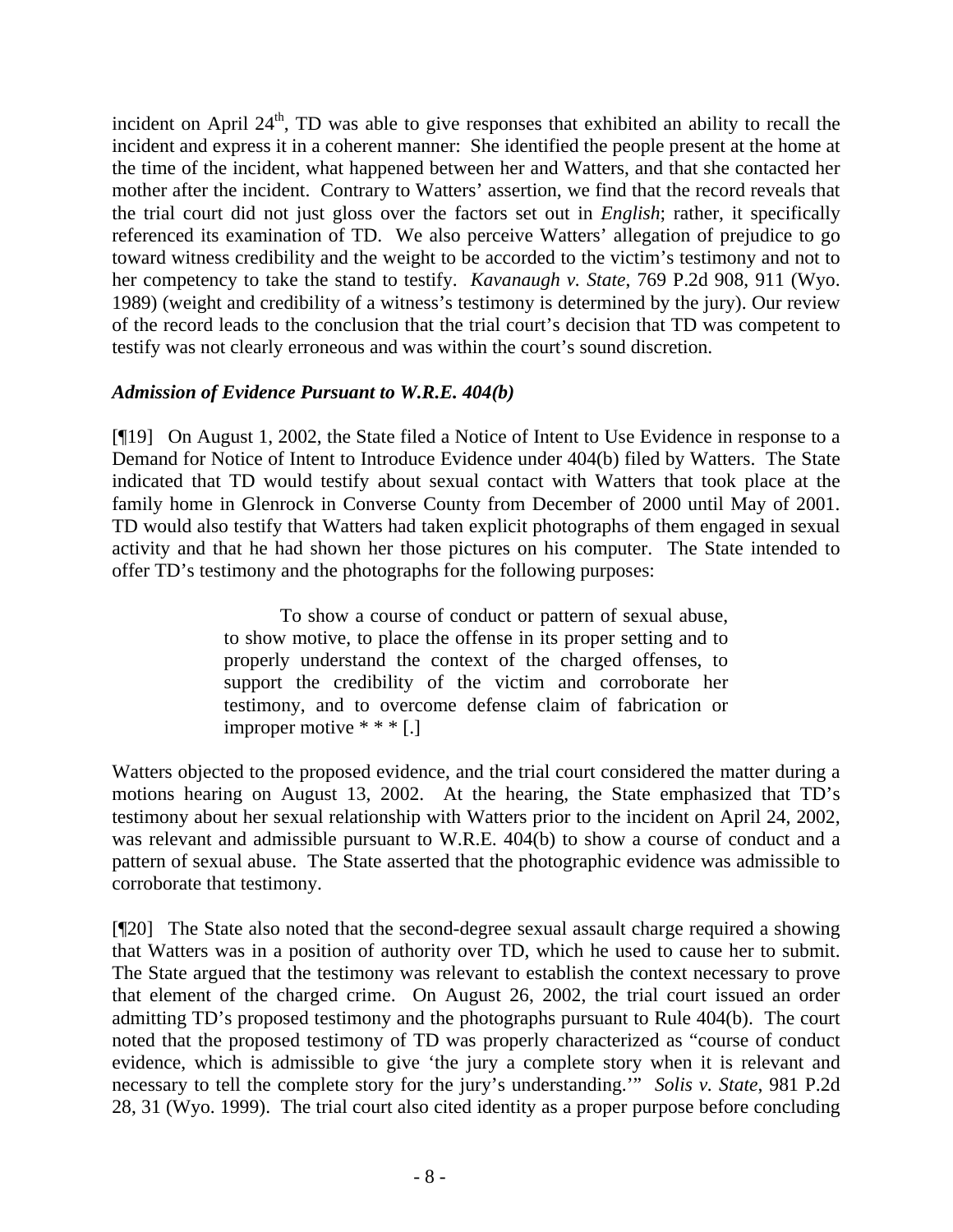incident on April  $24<sup>th</sup>$ , TD was able to give responses that exhibited an ability to recall the incident and express it in a coherent manner: She identified the people present at the home at the time of the incident, what happened between her and Watters, and that she contacted her mother after the incident. Contrary to Watters' assertion, we find that the record reveals that the trial court did not just gloss over the factors set out in *English*; rather, it specifically referenced its examination of TD. We also perceive Watters' allegation of prejudice to go toward witness credibility and the weight to be accorded to the victim's testimony and not to her competency to take the stand to testify. *Kavanaugh v. State*, 769 P.2d 908, 911 (Wyo. 1989) (weight and credibility of a witness's testimony is determined by the jury). Our review of the record leads to the conclusion that the trial court's decision that TD was competent to testify was not clearly erroneous and was within the court's sound discretion.

## *Admission of Evidence Pursuant to W.R.E. 404(b)*

[¶19] On August 1, 2002, the State filed a Notice of Intent to Use Evidence in response to a Demand for Notice of Intent to Introduce Evidence under 404(b) filed by Watters. The State indicated that TD would testify about sexual contact with Watters that took place at the family home in Glenrock in Converse County from December of 2000 until May of 2001. TD would also testify that Watters had taken explicit photographs of them engaged in sexual activity and that he had shown her those pictures on his computer. The State intended to offer TD's testimony and the photographs for the following purposes:

> To show a course of conduct or pattern of sexual abuse, to show motive, to place the offense in its proper setting and to properly understand the context of the charged offenses, to support the credibility of the victim and corroborate her testimony, and to overcome defense claim of fabrication or improper motive \* \* \* [.]

Watters objected to the proposed evidence, and the trial court considered the matter during a motions hearing on August 13, 2002. At the hearing, the State emphasized that TD's testimony about her sexual relationship with Watters prior to the incident on April 24, 2002, was relevant and admissible pursuant to W.R.E. 404(b) to show a course of conduct and a pattern of sexual abuse. The State asserted that the photographic evidence was admissible to corroborate that testimony.

[¶20] The State also noted that the second-degree sexual assault charge required a showing that Watters was in a position of authority over TD, which he used to cause her to submit. The State argued that the testimony was relevant to establish the context necessary to prove that element of the charged crime. On August 26, 2002, the trial court issued an order admitting TD's proposed testimony and the photographs pursuant to Rule 404(b). The court noted that the proposed testimony of TD was properly characterized as "course of conduct evidence, which is admissible to give 'the jury a complete story when it is relevant and necessary to tell the complete story for the jury's understanding.'" *Solis v. State*, 981 P.2d 28, 31 (Wyo. 1999). The trial court also cited identity as a proper purpose before concluding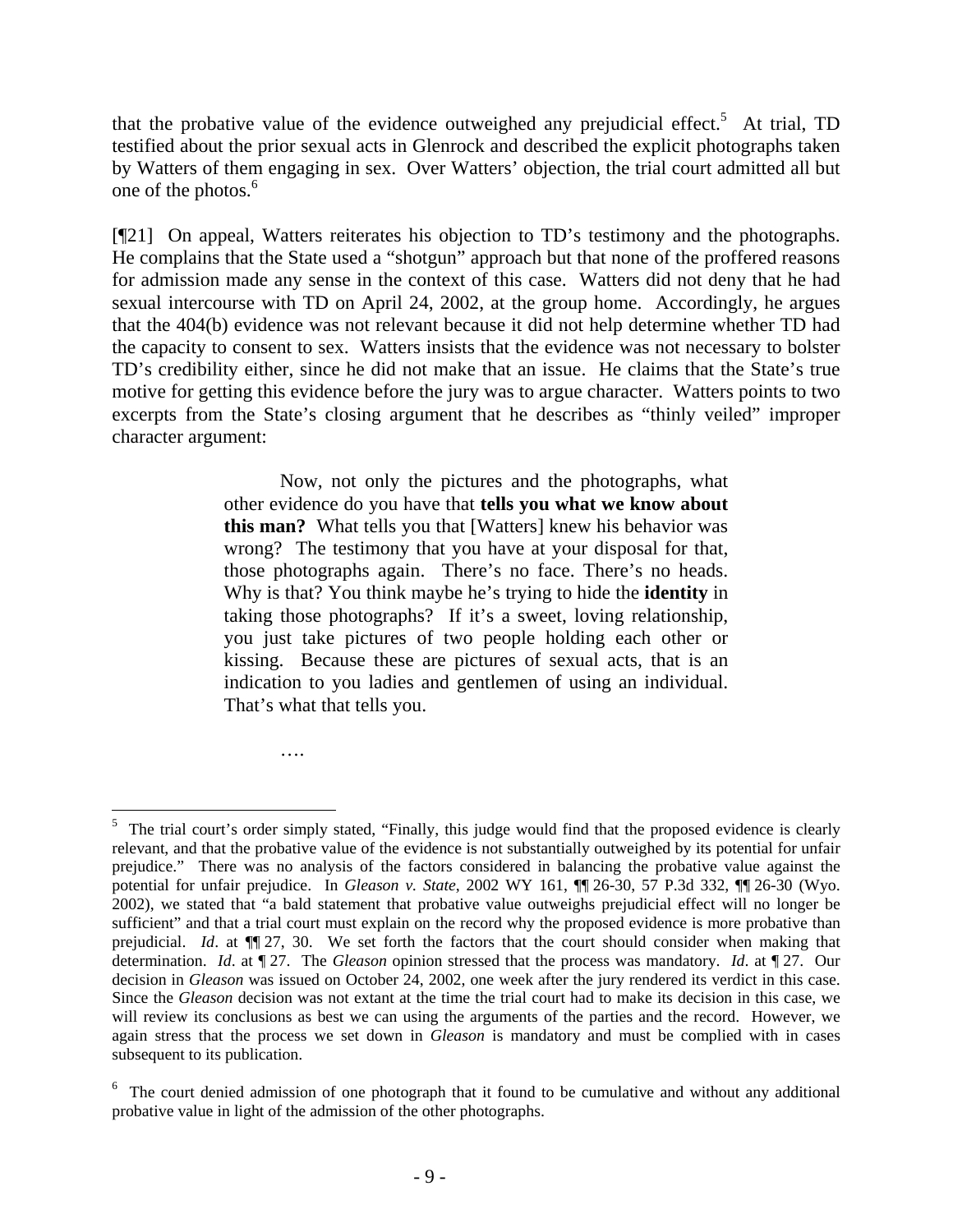that the probative value of the evidence outweighed any prejudicial effect.<sup>5</sup> At trial, TD testified about the prior sexual acts in Glenrock and described the explicit photographs taken by Watters of them engaging in sex. Over Watters' objection, the trial court admitted all but one of the photos.<sup>6</sup>

[¶21] On appeal, Watters reiterates his objection to TD's testimony and the photographs. He complains that the State used a "shotgun" approach but that none of the proffered reasons for admission made any sense in the context of this case. Watters did not deny that he had sexual intercourse with TD on April 24, 2002, at the group home. Accordingly, he argues that the 404(b) evidence was not relevant because it did not help determine whether TD had the capacity to consent to sex. Watters insists that the evidence was not necessary to bolster TD's credibility either, since he did not make that an issue. He claims that the State's true motive for getting this evidence before the jury was to argue character. Watters points to two excerpts from the State's closing argument that he describes as "thinly veiled" improper character argument:

> Now, not only the pictures and the photographs, what other evidence do you have that **tells you what we know about this man?** What tells you that [Watters] knew his behavior was wrong? The testimony that you have at your disposal for that, those photographs again. There's no face. There's no heads. Why is that? You think maybe he's trying to hide the **identity** in taking those photographs? If it's a sweet, loving relationship, you just take pictures of two people holding each other or kissing. Because these are pictures of sexual acts, that is an indication to you ladies and gentlemen of using an individual. That's what that tells you.

> > ….

<sup>&</sup>lt;sup>5</sup> The trial court's order simply stated, "Finally, this judge would find that the proposed evidence is clearly relevant, and that the probative value of the evidence is not substantially outweighed by its potential for unfair prejudice." There was no analysis of the factors considered in balancing the probative value against the potential for unfair prejudice. In *Gleason v. State*, 2002 WY 161, ¶¶ 26-30, 57 P.3d 332, ¶¶ 26-30 (Wyo. 2002), we stated that "a bald statement that probative value outweighs prejudicial effect will no longer be sufficient" and that a trial court must explain on the record why the proposed evidence is more probative than prejudicial. *Id*. at ¶¶ 27, 30. We set forth the factors that the court should consider when making that determination. *Id*. at ¶ 27. The *Gleason* opinion stressed that the process was mandatory. *Id*. at ¶ 27. Our decision in *Gleason* was issued on October 24, 2002, one week after the jury rendered its verdict in this case. Since the *Gleason* decision was not extant at the time the trial court had to make its decision in this case, we will review its conclusions as best we can using the arguments of the parties and the record. However, we again stress that the process we set down in *Gleason* is mandatory and must be complied with in cases subsequent to its publication.

 $6\sigma$  The court denied admission of one photograph that it found to be cumulative and without any additional probative value in light of the admission of the other photographs.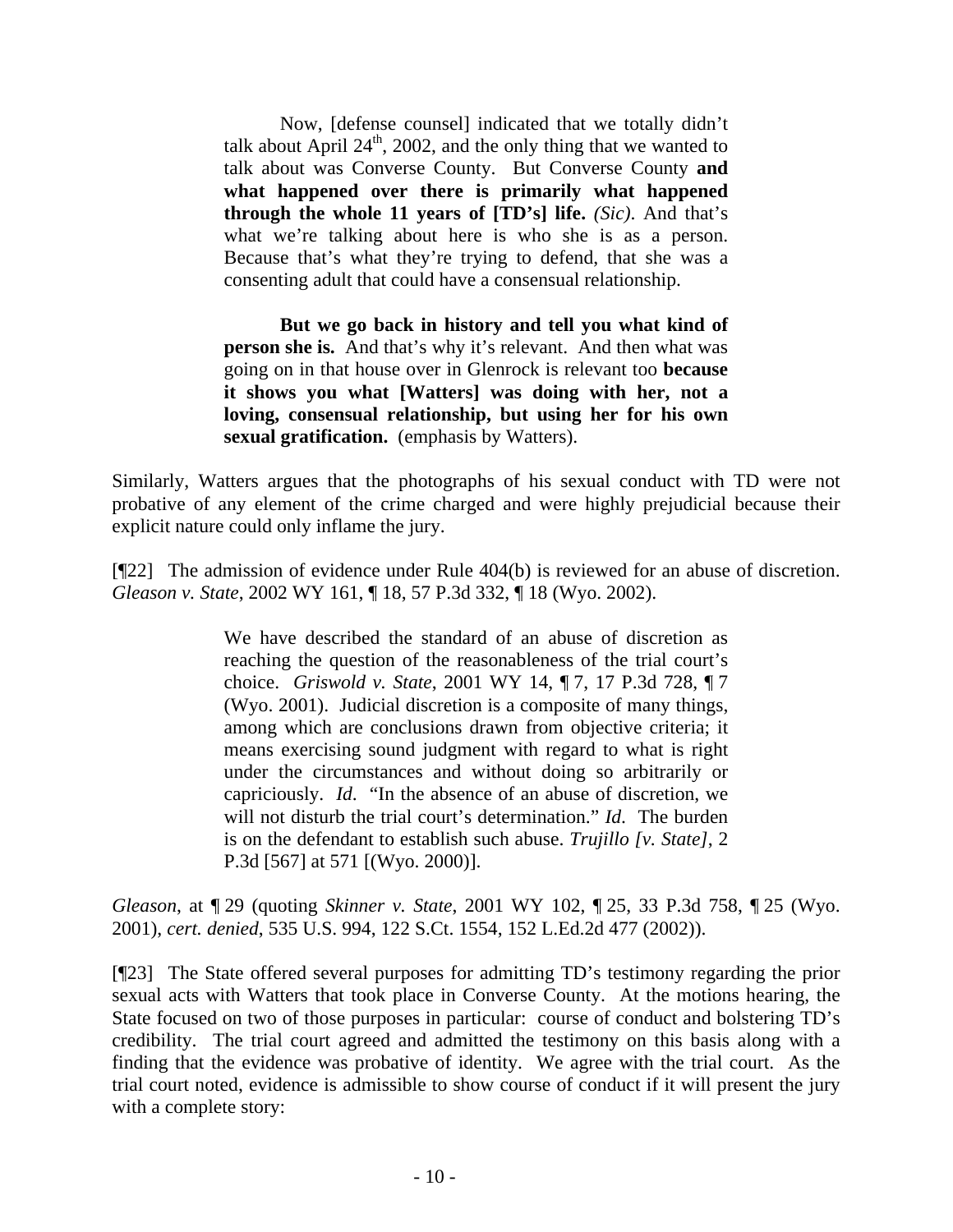Now, [defense counsel] indicated that we totally didn't talk about April  $24<sup>th</sup>$ , 2002, and the only thing that we wanted to talk about was Converse County. But Converse County **and what happened over there is primarily what happened through the whole 11 years of [TD's] life.** *(Sic)*. And that's what we're talking about here is who she is as a person. Because that's what they're trying to defend, that she was a consenting adult that could have a consensual relationship.

**But we go back in history and tell you what kind of person she is.** And that's why it's relevant. And then what was going on in that house over in Glenrock is relevant too **because it shows you what [Watters] was doing with her, not a loving, consensual relationship, but using her for his own sexual gratification.** (emphasis by Watters).

Similarly, Watters argues that the photographs of his sexual conduct with TD were not probative of any element of the crime charged and were highly prejudicial because their explicit nature could only inflame the jury.

[¶22] The admission of evidence under Rule 404(b) is reviewed for an abuse of discretion. *Gleason v. State*, 2002 WY 161, ¶ 18, 57 P.3d 332, ¶ 18 (Wyo. 2002).

> We have described the standard of an abuse of discretion as reaching the question of the reasonableness of the trial court's choice. *Griswold v. State*, 2001 WY 14, ¶ 7, 17 P.3d 728, ¶ 7 (Wyo. 2001). Judicial discretion is a composite of many things, among which are conclusions drawn from objective criteria; it means exercising sound judgment with regard to what is right under the circumstances and without doing so arbitrarily or capriciously. *Id*. "In the absence of an abuse of discretion, we will not disturb the trial court's determination." *Id*. The burden is on the defendant to establish such abuse. *Trujillo [v. State]*, 2 P.3d [567] at 571 [(Wyo. 2000)].

*Gleason*, at ¶ 29 (quoting *Skinner v. State*, 2001 WY 102, ¶ 25, 33 P.3d 758, ¶ 25 (Wyo. 2001), *cert. denied*, 535 U.S. 994, 122 S.Ct. 1554, 152 L.Ed.2d 477 (2002)).

[¶23] The State offered several purposes for admitting TD's testimony regarding the prior sexual acts with Watters that took place in Converse County. At the motions hearing, the State focused on two of those purposes in particular: course of conduct and bolstering TD's credibility. The trial court agreed and admitted the testimony on this basis along with a finding that the evidence was probative of identity. We agree with the trial court. As the trial court noted, evidence is admissible to show course of conduct if it will present the jury with a complete story: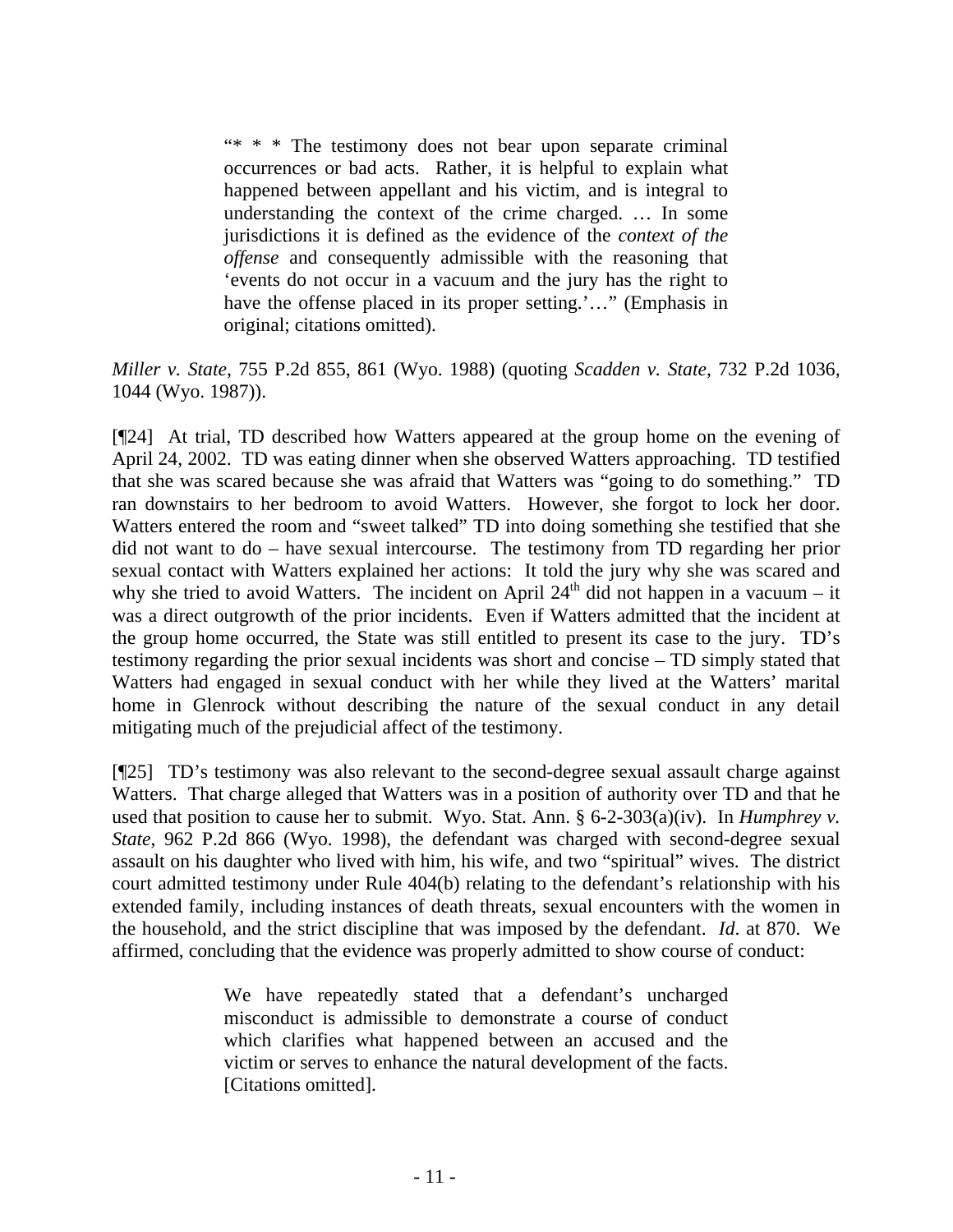"\* \* \* The testimony does not bear upon separate criminal occurrences or bad acts. Rather, it is helpful to explain what happened between appellant and his victim, and is integral to understanding the context of the crime charged. … In some jurisdictions it is defined as the evidence of the *context of the offense* and consequently admissible with the reasoning that 'events do not occur in a vacuum and the jury has the right to have the offense placed in its proper setting.'..." (Emphasis in original; citations omitted).

*Miller v. State*, 755 P.2d 855, 861 (Wyo. 1988) (quoting *Scadden v. State*, 732 P.2d 1036, 1044 (Wyo. 1987)).

[¶24] At trial, TD described how Watters appeared at the group home on the evening of April 24, 2002. TD was eating dinner when she observed Watters approaching. TD testified that she was scared because she was afraid that Watters was "going to do something." TD ran downstairs to her bedroom to avoid Watters. However, she forgot to lock her door. Watters entered the room and "sweet talked" TD into doing something she testified that she did not want to do – have sexual intercourse. The testimony from TD regarding her prior sexual contact with Watters explained her actions: It told the jury why she was scared and why she tried to avoid Watters. The incident on April  $24<sup>th</sup>$  did not happen in a vacuum – it was a direct outgrowth of the prior incidents. Even if Watters admitted that the incident at the group home occurred, the State was still entitled to present its case to the jury. TD's testimony regarding the prior sexual incidents was short and concise – TD simply stated that Watters had engaged in sexual conduct with her while they lived at the Watters' marital home in Glenrock without describing the nature of the sexual conduct in any detail mitigating much of the prejudicial affect of the testimony.

[¶25] TD's testimony was also relevant to the second-degree sexual assault charge against Watters. That charge alleged that Watters was in a position of authority over TD and that he used that position to cause her to submit. Wyo. Stat. Ann. § 6-2-303(a)(iv). In *Humphrey v. State*, 962 P.2d 866 (Wyo. 1998), the defendant was charged with second-degree sexual assault on his daughter who lived with him, his wife, and two "spiritual" wives. The district court admitted testimony under Rule 404(b) relating to the defendant's relationship with his extended family, including instances of death threats, sexual encounters with the women in the household, and the strict discipline that was imposed by the defendant. *Id*. at 870. We affirmed, concluding that the evidence was properly admitted to show course of conduct:

> We have repeatedly stated that a defendant's uncharged misconduct is admissible to demonstrate a course of conduct which clarifies what happened between an accused and the victim or serves to enhance the natural development of the facts. [Citations omitted].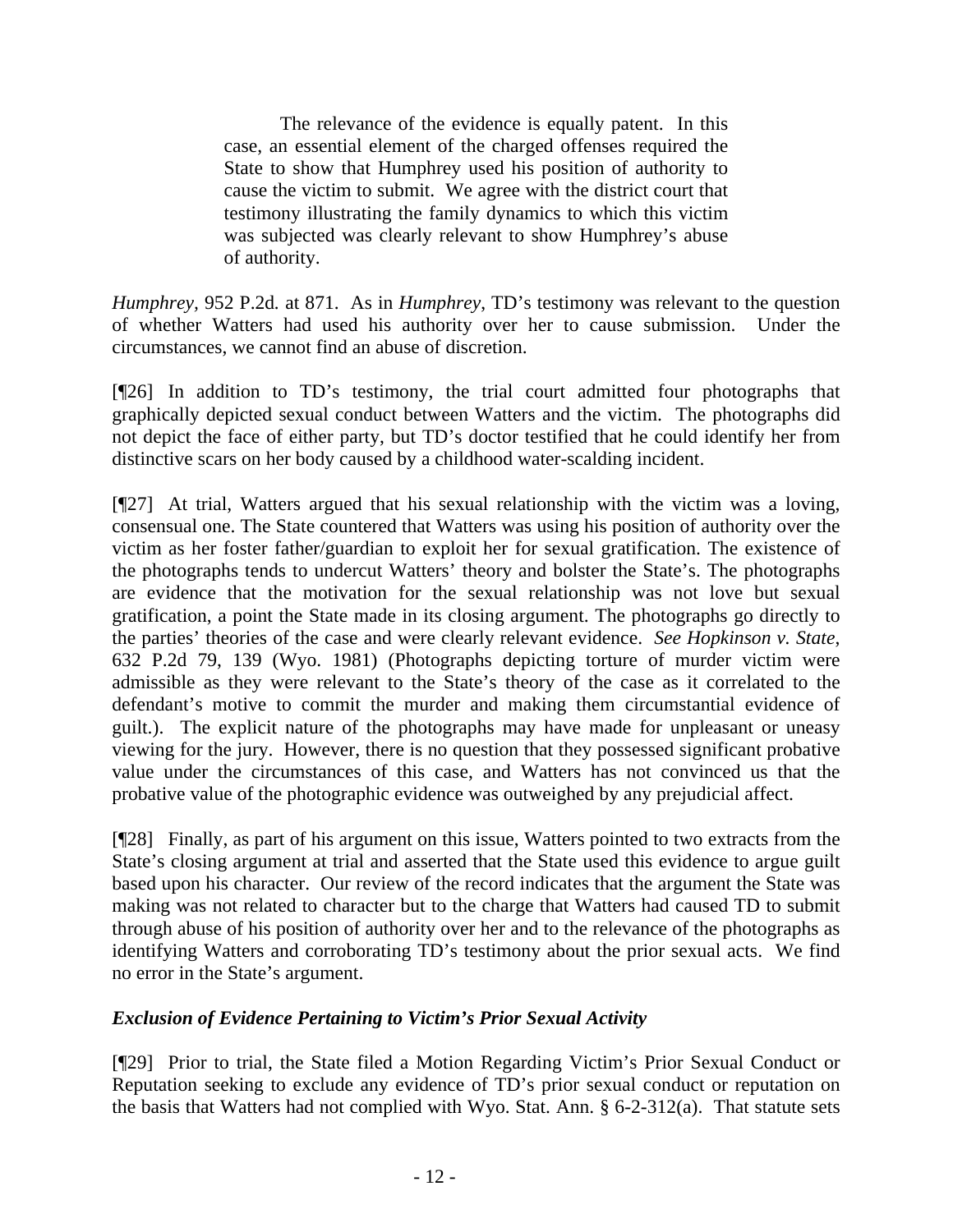The relevance of the evidence is equally patent. In this case, an essential element of the charged offenses required the State to show that Humphrey used his position of authority to cause the victim to submit. We agree with the district court that testimony illustrating the family dynamics to which this victim was subjected was clearly relevant to show Humphrey's abuse of authority.

*Humphrey,* 952 P.2d*.* at 871. As in *Humphrey*, TD's testimony was relevant to the question of whether Watters had used his authority over her to cause submission. Under the circumstances, we cannot find an abuse of discretion.

[¶26] In addition to TD's testimony, the trial court admitted four photographs that graphically depicted sexual conduct between Watters and the victim. The photographs did not depict the face of either party, but TD's doctor testified that he could identify her from distinctive scars on her body caused by a childhood water-scalding incident.

[¶27] At trial, Watters argued that his sexual relationship with the victim was a loving, consensual one. The State countered that Watters was using his position of authority over the victim as her foster father/guardian to exploit her for sexual gratification. The existence of the photographs tends to undercut Watters' theory and bolster the State's. The photographs are evidence that the motivation for the sexual relationship was not love but sexual gratification, a point the State made in its closing argument. The photographs go directly to the parties' theories of the case and were clearly relevant evidence. *See Hopkinson v. State*, 632 P.2d 79, 139 (Wyo. 1981) (Photographs depicting torture of murder victim were admissible as they were relevant to the State's theory of the case as it correlated to the defendant's motive to commit the murder and making them circumstantial evidence of guilt.). The explicit nature of the photographs may have made for unpleasant or uneasy viewing for the jury. However, there is no question that they possessed significant probative value under the circumstances of this case, and Watters has not convinced us that the probative value of the photographic evidence was outweighed by any prejudicial affect.

[¶28] Finally, as part of his argument on this issue, Watters pointed to two extracts from the State's closing argument at trial and asserted that the State used this evidence to argue guilt based upon his character. Our review of the record indicates that the argument the State was making was not related to character but to the charge that Watters had caused TD to submit through abuse of his position of authority over her and to the relevance of the photographs as identifying Watters and corroborating TD's testimony about the prior sexual acts. We find no error in the State's argument.

# *Exclusion of Evidence Pertaining to Victim's Prior Sexual Activity*

[¶29] Prior to trial, the State filed a Motion Regarding Victim's Prior Sexual Conduct or Reputation seeking to exclude any evidence of TD's prior sexual conduct or reputation on the basis that Watters had not complied with Wyo. Stat. Ann. § 6-2-312(a). That statute sets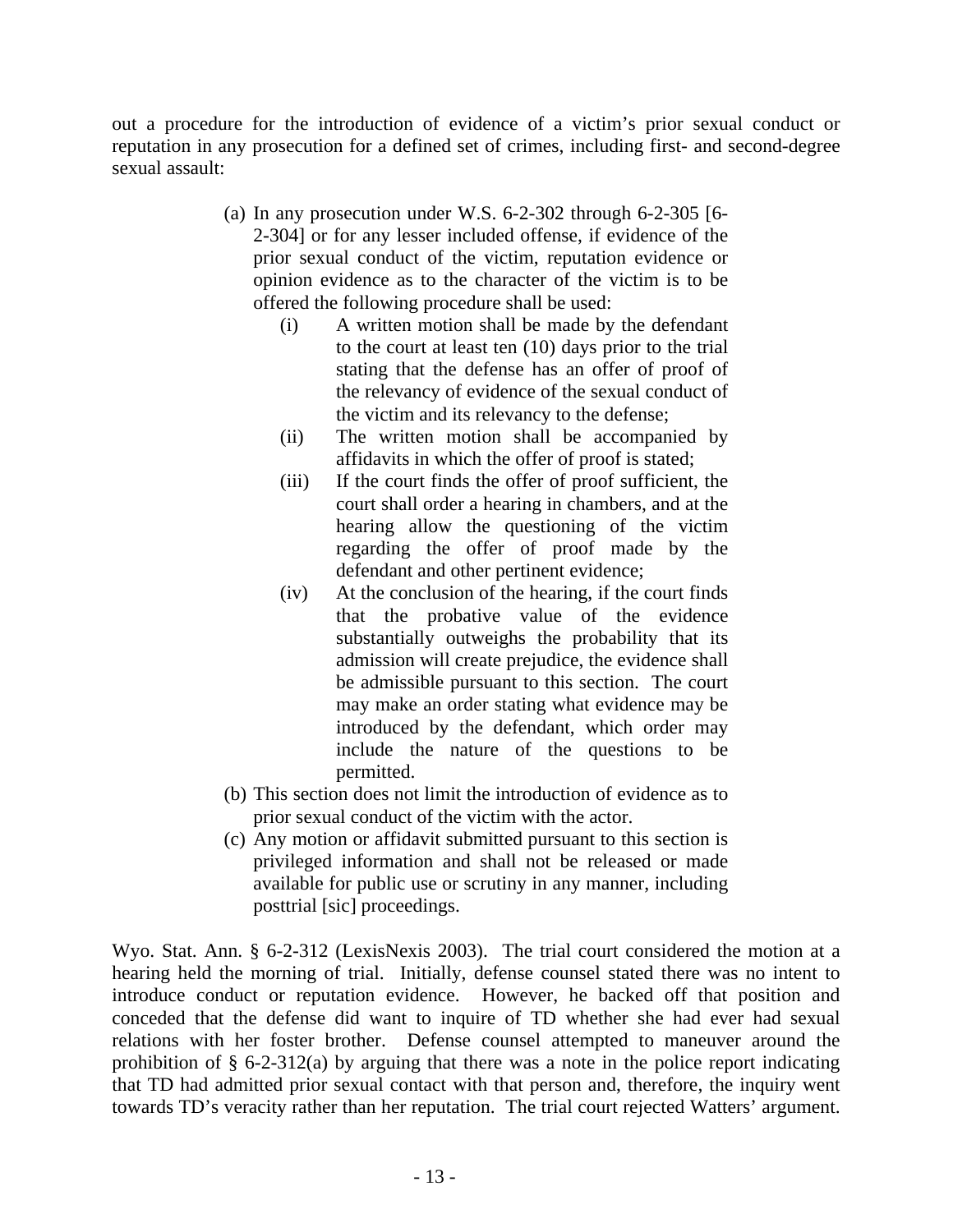out a procedure for the introduction of evidence of a victim's prior sexual conduct or reputation in any prosecution for a defined set of crimes, including first- and second-degree sexual assault:

- (a) In any prosecution under W.S. 6-2-302 through 6-2-305 [6- 2-304] or for any lesser included offense, if evidence of the prior sexual conduct of the victim, reputation evidence or opinion evidence as to the character of the victim is to be offered the following procedure shall be used:
	- (i) A written motion shall be made by the defendant to the court at least ten (10) days prior to the trial stating that the defense has an offer of proof of the relevancy of evidence of the sexual conduct of the victim and its relevancy to the defense;
	- (ii) The written motion shall be accompanied by affidavits in which the offer of proof is stated;
	- (iii) If the court finds the offer of proof sufficient, the court shall order a hearing in chambers, and at the hearing allow the questioning of the victim regarding the offer of proof made by the defendant and other pertinent evidence;
	- (iv) At the conclusion of the hearing, if the court finds that the probative value of the evidence substantially outweighs the probability that its admission will create prejudice, the evidence shall be admissible pursuant to this section. The court may make an order stating what evidence may be introduced by the defendant, which order may include the nature of the questions to be permitted.
- (b) This section does not limit the introduction of evidence as to prior sexual conduct of the victim with the actor.
- (c) Any motion or affidavit submitted pursuant to this section is privileged information and shall not be released or made available for public use or scrutiny in any manner, including posttrial [sic] proceedings.

Wyo. Stat. Ann. § 6-2-312 (LexisNexis 2003). The trial court considered the motion at a hearing held the morning of trial. Initially, defense counsel stated there was no intent to introduce conduct or reputation evidence. However, he backed off that position and conceded that the defense did want to inquire of TD whether she had ever had sexual relations with her foster brother. Defense counsel attempted to maneuver around the prohibition of § 6-2-312(a) by arguing that there was a note in the police report indicating that TD had admitted prior sexual contact with that person and, therefore, the inquiry went towards TD's veracity rather than her reputation. The trial court rejected Watters' argument.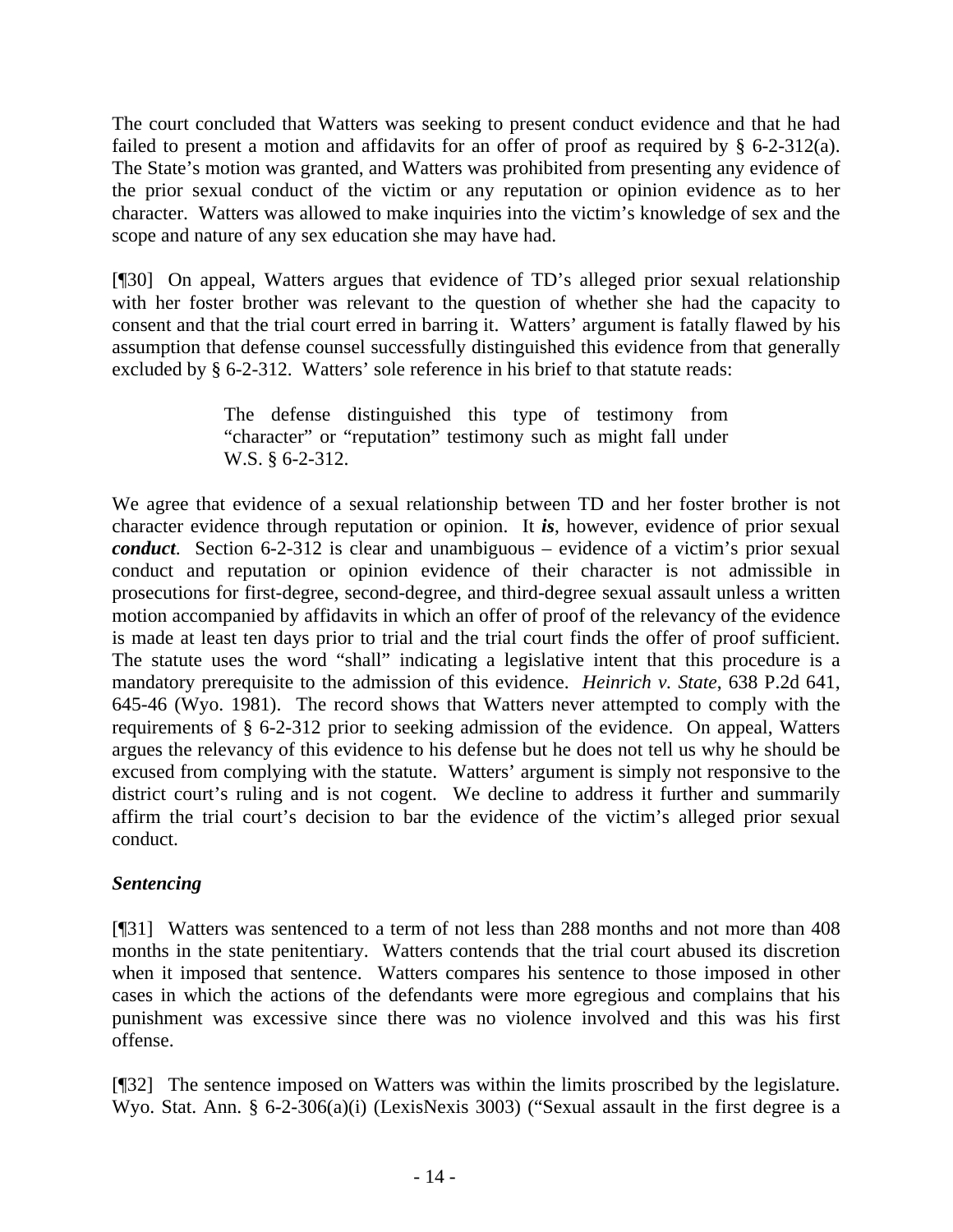The court concluded that Watters was seeking to present conduct evidence and that he had failed to present a motion and affidavits for an offer of proof as required by § 6-2-312(a). The State's motion was granted, and Watters was prohibited from presenting any evidence of the prior sexual conduct of the victim or any reputation or opinion evidence as to her character. Watters was allowed to make inquiries into the victim's knowledge of sex and the scope and nature of any sex education she may have had.

[¶30] On appeal, Watters argues that evidence of TD's alleged prior sexual relationship with her foster brother was relevant to the question of whether she had the capacity to consent and that the trial court erred in barring it. Watters' argument is fatally flawed by his assumption that defense counsel successfully distinguished this evidence from that generally excluded by § 6-2-312. Watters' sole reference in his brief to that statute reads:

> The defense distinguished this type of testimony from "character" or "reputation" testimony such as might fall under W.S. § 6-2-312.

We agree that evidence of a sexual relationship between TD and her foster brother is not character evidence through reputation or opinion. It *is*, however, evidence of prior sexual *conduct*. Section 6-2-312 is clear and unambiguous – evidence of a victim's prior sexual conduct and reputation or opinion evidence of their character is not admissible in prosecutions for first-degree, second-degree, and third-degree sexual assault unless a written motion accompanied by affidavits in which an offer of proof of the relevancy of the evidence is made at least ten days prior to trial and the trial court finds the offer of proof sufficient. The statute uses the word "shall" indicating a legislative intent that this procedure is a mandatory prerequisite to the admission of this evidence. *Heinrich v. State*, 638 P.2d 641, 645-46 (Wyo. 1981). The record shows that Watters never attempted to comply with the requirements of § 6-2-312 prior to seeking admission of the evidence. On appeal, Watters argues the relevancy of this evidence to his defense but he does not tell us why he should be excused from complying with the statute. Watters' argument is simply not responsive to the district court's ruling and is not cogent. We decline to address it further and summarily affirm the trial court's decision to bar the evidence of the victim's alleged prior sexual conduct.

# *Sentencing*

[¶31] Watters was sentenced to a term of not less than 288 months and not more than 408 months in the state penitentiary. Watters contends that the trial court abused its discretion when it imposed that sentence. Watters compares his sentence to those imposed in other cases in which the actions of the defendants were more egregious and complains that his punishment was excessive since there was no violence involved and this was his first offense.

[¶32] The sentence imposed on Watters was within the limits proscribed by the legislature. Wyo. Stat. Ann. § 6-2-306(a)(i) (LexisNexis 3003) ("Sexual assault in the first degree is a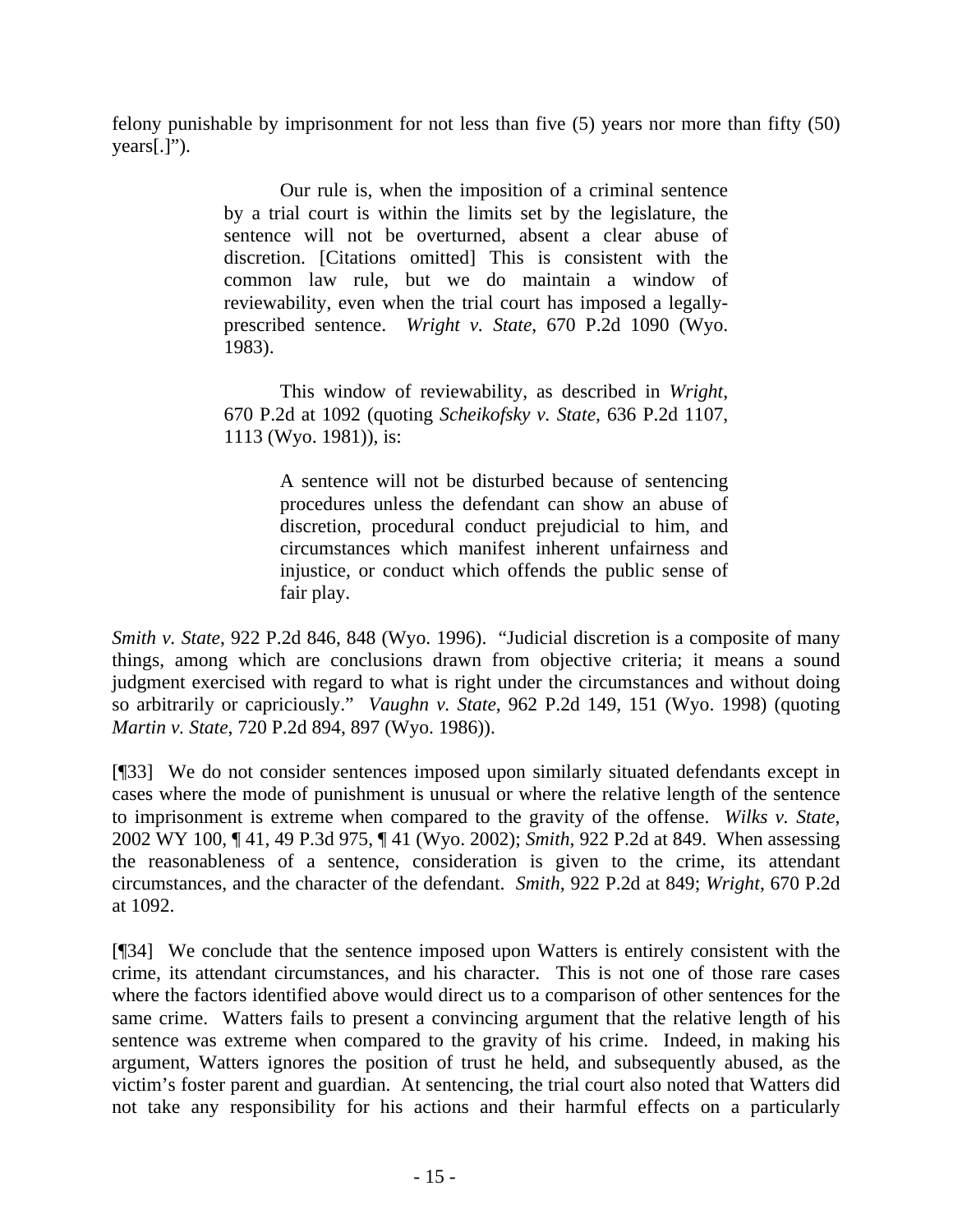felony punishable by imprisonment for not less than five (5) years nor more than fifty (50)  $years[.]$ ").

> Our rule is, when the imposition of a criminal sentence by a trial court is within the limits set by the legislature, the sentence will not be overturned, absent a clear abuse of discretion. [Citations omitted] This is consistent with the common law rule, but we do maintain a window of reviewability, even when the trial court has imposed a legallyprescribed sentence. *Wright v. State*, 670 P.2d 1090 (Wyo. 1983).

> This window of reviewability, as described in *Wright*, 670 P.2d at 1092 (quoting *Scheikofsky v. State*, 636 P.2d 1107, 1113 (Wyo. 1981)), is:

> > A sentence will not be disturbed because of sentencing procedures unless the defendant can show an abuse of discretion, procedural conduct prejudicial to him, and circumstances which manifest inherent unfairness and injustice, or conduct which offends the public sense of fair play.

*Smith v. State*, 922 P.2d 846, 848 (Wyo. 1996). "Judicial discretion is a composite of many things, among which are conclusions drawn from objective criteria; it means a sound judgment exercised with regard to what is right under the circumstances and without doing so arbitrarily or capriciously." *Vaughn v. State*, 962 P.2d 149, 151 (Wyo. 1998) (quoting *Martin v. State*, 720 P.2d 894, 897 (Wyo. 1986)).

[¶33] We do not consider sentences imposed upon similarly situated defendants except in cases where the mode of punishment is unusual or where the relative length of the sentence to imprisonment is extreme when compared to the gravity of the offense. *Wilks v. State*, 2002 WY 100, ¶ 41, 49 P.3d 975, ¶ 41 (Wyo. 2002); *Smith*, 922 P.2d at 849. When assessing the reasonableness of a sentence, consideration is given to the crime, its attendant circumstances, and the character of the defendant. *Smith*, 922 P.2d at 849; *Wright*, 670 P.2d at 1092.

[¶34] We conclude that the sentence imposed upon Watters is entirely consistent with the crime, its attendant circumstances, and his character. This is not one of those rare cases where the factors identified above would direct us to a comparison of other sentences for the same crime. Watters fails to present a convincing argument that the relative length of his sentence was extreme when compared to the gravity of his crime. Indeed, in making his argument, Watters ignores the position of trust he held, and subsequently abused, as the victim's foster parent and guardian. At sentencing, the trial court also noted that Watters did not take any responsibility for his actions and their harmful effects on a particularly